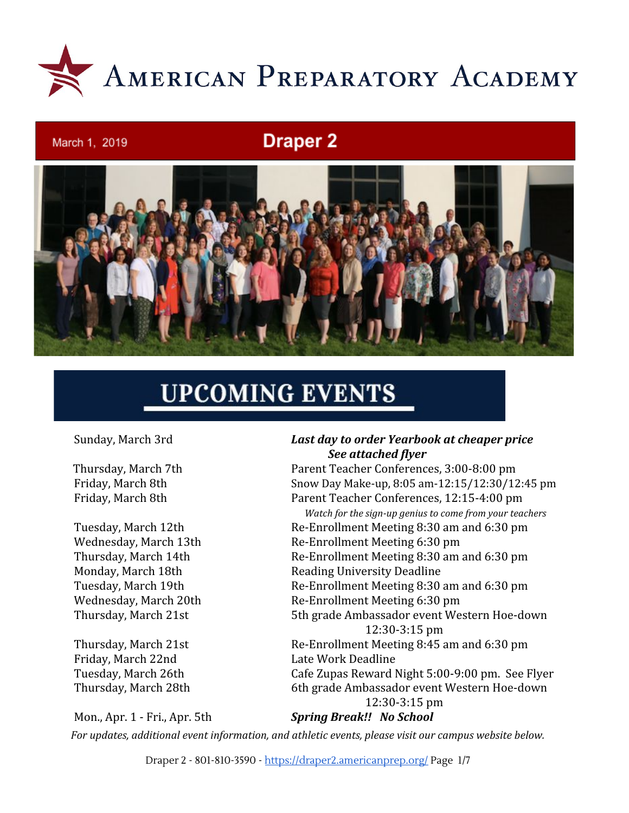

## **Draper 2**



# **UPCOMING EVENTS**

March 1, 2019

Friday, March 22nd Late Work Deadline

Mon., Apr. 1 - Fri., Apr. 5th *Spring Break!! No School*

#### Sunday, March 3rd *Last day to order Yearbook at cheaper price See attached flyer*

 Thursday, March 7th Parent Teacher Conferences, 3:00-8:00 pm Friday, March 8th Snow Day Make-up, 8:05 am-12:15/12:30/12:45 pm Friday, March 8th Parent Teacher Conferences, 12:15-4:00 pm

 *Watch for the sign-up genius to come from your teachers* Tuesday, March 12th Re-Enrollment Meeting 8:30 am and 6:30 pm Wednesday, March 13th Re-Enrollment Meeting 6:30 pm Thursday, March 14th Re-Enrollment Meeting 8:30 am and 6:30 pm Monday, March 18th Reading University Deadline Tuesday, March 19th Re-Enrollment Meeting 8:30 am and 6:30 pm Wednesday, March 20th Re-Enrollment Meeting 6:30 pm Thursday, March 21st 5th grade Ambassador event Western Hoe-down 12:30-3:15 pm Thursday, March 21st Re-Enrollment Meeting 8:45 am and 6:30 pm Tuesday, March 26th Cafe Zupas Reward Night 5:00-9:00 pm. See Flyer Thursday, March 28th 6th grade Ambassador event Western Hoe-down 12:30-3:15 pm

*For updates, additional event information, and athletic events, please visit our campus website below.*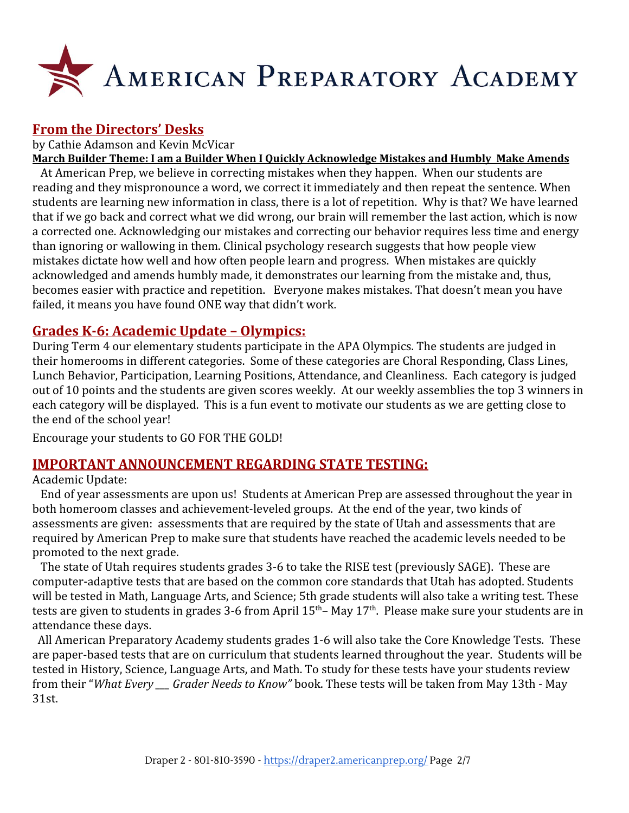

## **From the Directors' Desks**

by Cathie Adamson and Kevin McVicar

**March Builder Theme: I am a Builder When I Quickly Acknowledge Mistakes and Humbly Make Amends**

 At American Prep, we believe in correcting mistakes when they happen. When our students are reading and they mispronounce a word, we correct it immediately and then repeat the sentence. When students are learning new information in class, there is a lot of repetition. Why is that? We have learned that if we go back and correct what we did wrong, our brain will remember the last action, which is now a corrected one. Acknowledging our mistakes and correcting our behavior requires less time and energy than ignoring or wallowing in them. Clinical psychology research suggests that how people view mistakes dictate how well and how often people learn and progress. When mistakes are quickly acknowledged and amends humbly made, it demonstrates our learning from the mistake and, thus, becomes easier with practice and repetition. Everyone makes mistakes. That doesn't mean you have failed, it means you have found ONE way that didn't work.

## **Grades K-6: Academic Update – Olympics:**

During Term 4 our elementary students participate in the APA Olympics. The students are judged in their homerooms in different categories. Some of these categories are Choral Responding, Class Lines, Lunch Behavior, Participation, Learning Positions, Attendance, and Cleanliness. Each category is judged out of 10 points and the students are given scores weekly. At our weekly assemblies the top 3 winners in each category will be displayed. This is a fun event to motivate our students as we are getting close to the end of the school year!

Encourage your students to GO FOR THE GOLD!

#### **IMPORTANT ANNOUNCEMENT REGARDING STATE TESTING:**

Academic Update:

 End of year assessments are upon us! Students at American Prep are assessed throughout the year in both homeroom classes and achievement-leveled groups. At the end of the year, two kinds of assessments are given: assessments that are required by the state of Utah and assessments that are required by American Prep to make sure that students have reached the academic levels needed to be promoted to the next grade.

 The state of Utah requires students grades 3-6 to take the RISE test (previously SAGE). These are computer-adaptive tests that are based on the common core standards that Utah has adopted. Students will be tested in Math, Language Arts, and Science; 5th grade students will also take a writing test. These tests are given to students in grades 3-6 from April 15<sup>th</sup>– May 17<sup>th</sup>. Please make sure your students are in attendance these days.

 All American Preparatory Academy students grades 1-6 will also take the Core Knowledge Tests. These are paper-based tests that are on curriculum that students learned throughout the year. Students will be tested in History, Science, Language Arts, and Math. To study for these tests have your students review from their "*What Every \_\_\_ Grader Needs to Know"* book. These tests will be taken from May 13th - May 31st.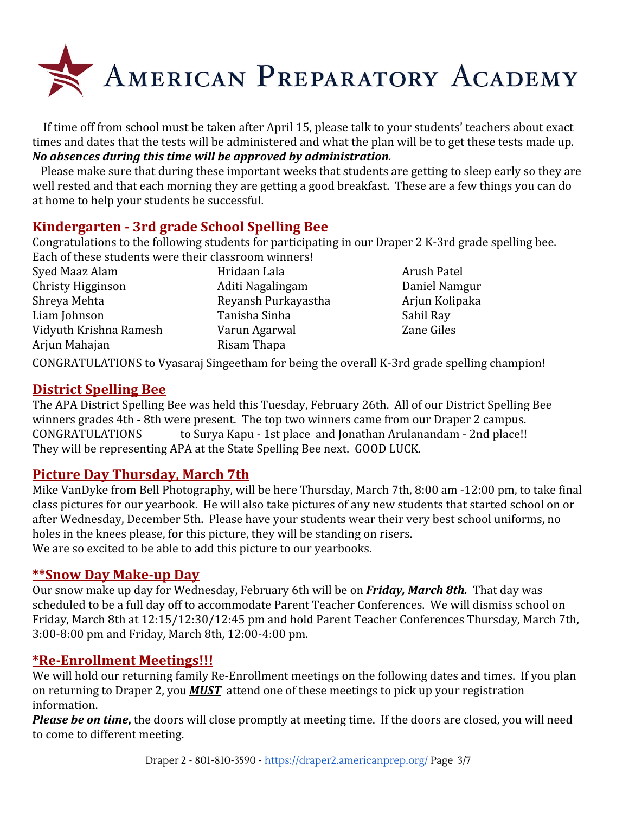

 If time off from school must be taken after April 15, please talk to your students' teachers about exact times and dates that the tests will be administered and what the plan will be to get these tests made up. *No absences during this time will be approved by administration.*

 Please make sure that during these important weeks that students are getting to sleep early so they are well rested and that each morning they are getting a good breakfast. These are a few things you can do at home to help your students be successful.

## **Kindergarten - 3rd grade School Spelling Bee**

Congratulations to the following students for participating in our Draper 2 K-3rd grade spelling bee. Each of these students were their classroom winners! Syed Maaz Alam **Hridaan Lala** Arush Patel

Christy Higginson Aditi Nagalingam Daniel Namgur Shreya Mehta **Reyansh Purkayastha** Arjun Kolipaka Liam Johnson Tanisha Sinha Sinha Sinha Sahil Ray Vidyuth Krishna Ramesh Varun Agarwal Zane Giles Arjun Mahajan **Risam Thapa** 

CONGRATULATIONS to Vyasaraj Singeetham for being the overall K-3rd grade spelling champion!

#### **District Spelling Bee**

The APA District Spelling Bee was held this Tuesday, February 26th. All of our District Spelling Bee winners grades 4th - 8th were present. The top two winners came from our Draper 2 campus. CONGRATULATIONS to Surya Kapu - 1st place and Jonathan Arulanandam - 2nd place!! They will be representing APA at the State Spelling Bee next. GOOD LUCK.

#### **Picture Day Thursday, March 7th**

Mike VanDyke from Bell Photography, will be here Thursday, March 7th, 8:00 am -12:00 pm, to take final class pictures for our yearbook. He will also take pictures of any new students that started school on or after Wednesday, December 5th. Please have your students wear their very best school uniforms, no holes in the knees please, for this picture, they will be standing on risers. We are so excited to be able to add this picture to our yearbooks.

#### **\*\*Snow Day Make-up Day**

Our snow make up day for Wednesday, February 6th will be on *Friday, March 8th.* That day was scheduled to be a full day off to accommodate Parent Teacher Conferences. We will dismiss school on Friday, March 8th at 12:15/12:30/12:45 pm and hold Parent Teacher Conferences Thursday, March 7th, 3:00-8:00 pm and Friday, March 8th, 12:00-4:00 pm.

#### **\*Re-Enrollment Meetings!!!**

We will hold our returning family Re-Enrollment meetings on the following dates and times. If you plan on returning to Draper 2, you *MUST* attend one of these meetings to pick up your registration information.

*Please be on time***,** the doors will close promptly at meeting time. If the doors are closed, you will need to come to different meeting.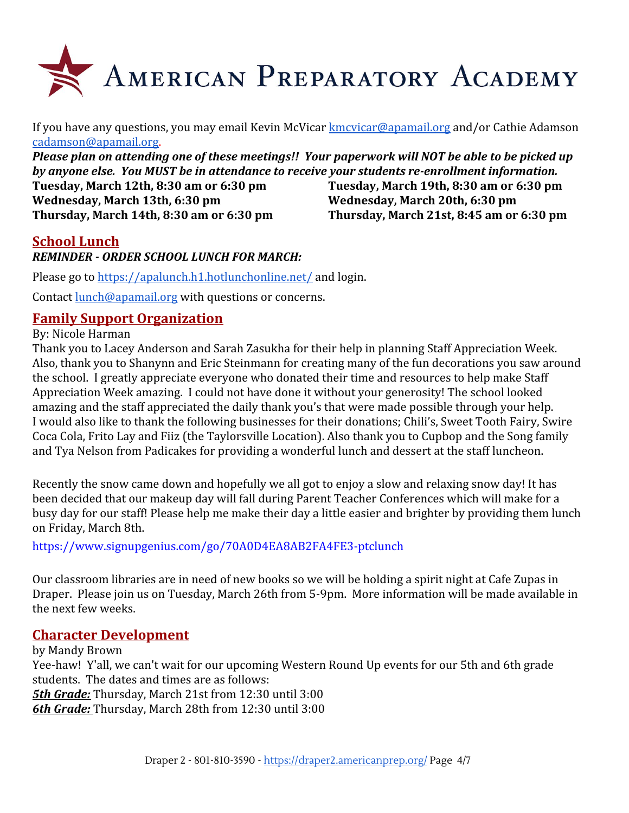

If you have any questions, you may email Kevin McVicar [kmcvicar@apamail.org](mailto:kmcvicar@apamail.org) and/or Cathie Adamson [cadamson@apamail.org](mailto:cadamson@apamail.org).

*Please plan on attending one of these meetings!! Your paperwork will NOT be able to be picked up by anyone else. You MUST be in attendance to receive your students re-enrollment information.*

**Wednesday, March 13th, 6:30 pm Wednesday, March 20th, 6:30 pm Thursday, March 14th, 8:30 am or 6:30 pm Thursday, March 21st, 8:45 am or 6:30 pm**

**Tuesday, March 12th, 8:30 am or 6:30 pm Tuesday, March 19th, 8:30 am or 6:30 pm**

#### **School Lunch**

#### *REMINDER - ORDER SCHOOL LUNCH FOR MARCH:*

Please go t[o](https://apalunch.h1.hotlunchonline.net/) <https://apalunch.h1.hotlunchonline.net/> and login.

Contact [lunch@apamail.org](mailto:lunch@apamail.org) with questions or concerns.

#### **Family Support Organization**

#### By: Nicole Harman

Thank you to Lacey Anderson and Sarah Zasukha for their help in planning Staff Appreciation Week. Also, thank you to Shanynn and Eric Steinmann for creating many of the fun decorations you saw around the school. I greatly appreciate everyone who donated their time and resources to help make Staff Appreciation Week amazing. I could not have done it without your generosity! The school looked amazing and the staff appreciated the daily thank you's that were made possible through your help. I would also like to thank the following businesses for their donations; Chili's, Sweet Tooth Fairy, Swire Coca Cola, Frito Lay and Fiiz (the Taylorsville Location). Also thank you to Cupbop and the Song family and Tya Nelson from Padicakes for providing a wonderful lunch and dessert at the staff luncheon.

Recently the snow came down and hopefully we all got to enjoy a slow and relaxing snow day! It has been decided that our makeup day will fall during Parent Teacher Conferences which will make for a busy day for our staff! Please help me make their day a little easier and brighter by providing them lunch on Friday, March 8th.

<https://www.signupgenius.com/go/70A0D4EA8AB2FA4FE3-ptclunch>

Our classroom libraries are in need of new books so we will be holding a spirit night at Cafe Zupas in Draper. Please join us on Tuesday, March 26th from 5-9pm. More information will be made available in the next few weeks.

#### **Character Development**

by Mandy Brown Yee-haw! Y'all, we can't wait for our upcoming Western Round Up events for our 5th and 6th grade students. The dates and times are as follows: *5th Grade:* Thursday, March 21st from 12:30 until 3:00 *6th Grade:* Thursday, March 28th from 12:30 until 3:00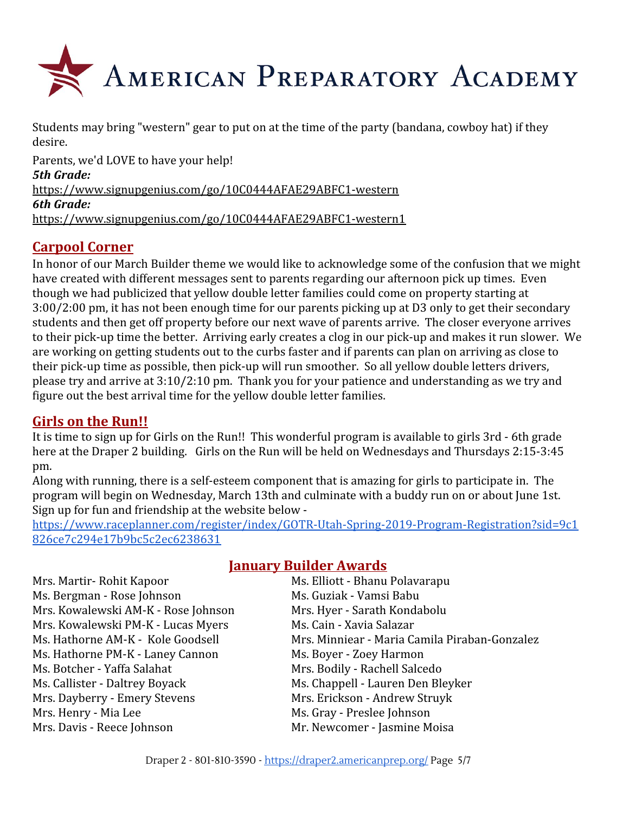

Students may bring "western" gear to put on at the time of the party (bandana, cowboy hat) if they desire.

Parents, we'd LOVE to have your help! *5th Grade:* <https://www.signupgenius.com/go/10C0444AFAE29ABFC1-western> *6th Grade:* <https://www.signupgenius.com/go/10C0444AFAE29ABFC1-western1>

## **Carpool Corner**

In honor of our March Builder theme we would like to acknowledge some of the confusion that we might have created with different messages sent to parents regarding our afternoon pick up times. Even though we had publicized that yellow double letter families could come on property starting at 3:00/2:00 pm, it has not been enough time for our parents picking up at D3 only to get their secondary students and then get off property before our next wave of parents arrive. The closer everyone arrives to their pick-up time the better. Arriving early creates a clog in our pick-up and makes it run slower. We are working on getting students out to the curbs faster and if parents can plan on arriving as close to their pick-up time as possible, then pick-up will run smoother. So all yellow double letters drivers, please try and arrive at 3:10/2:10 pm. Thank you for your patience and understanding as we try and figure out the best arrival time for the yellow double letter families.

## **Girls on the Run!!**

It is time to sign up for Girls on the Run!! This wonderful program is available to girls 3rd - 6th grade here at the Draper 2 building. Girls on the Run will be held on Wednesdays and Thursdays 2:15-3:45 pm.

Along with running, there is a self-esteem component that is amazing for girls to participate in. The program will begin on Wednesday, March 13th and culminate with a buddy run on or about June 1st. Sign up for fun and friendship at the website below -

[https://www.raceplanner.com/register/index/GOTR-Utah-Spring-2019-Program-Registration?sid=9c1](https://www.raceplanner.com/register/index/GOTR-Utah-Spring-2019-Program-Registration?sid=9c1826ce7c294e17b9bc5c2ec6238631) [826ce7c294e17b9bc5c2ec6238631](https://www.raceplanner.com/register/index/GOTR-Utah-Spring-2019-Program-Registration?sid=9c1826ce7c294e17b9bc5c2ec6238631)

Mrs. Martir- Rohit Kapoor Ms. Elliott - Bhanu Polavarapu Ms. Bergman - Rose Johnson Ms. Guziak - Vamsi Babu Mrs. Kowalewski AM-K - Rose Johnson Mrs. Hyer - Sarath Kondabolu Mrs. Kowalewski PM-K - Lucas Myers Ms. Cain - Xavia Salazar Ms. Hathorne PM-K - Laney Cannon Ms. Boyer - Zoey Harmon Ms. Botcher - Yaffa Salahat Mrs. Bodily - Rachell Salcedo Ms. Callister - Daltrey Boyack Ms. Chappell - Lauren Den Bleyker Mrs. Dayberry - Emery Stevens Mrs. Erickson - Andrew Struyk Mrs. Henry - Mia Lee Ms. Gray - Preslee Johnson Mrs. Davis - Reece Johnson Mr. Newcomer - Jasmine Moisa

## **January Builder Awards**

Ms. Hathorne AM-K - Kole Goodsell Mrs. Minniear - Maria Camila Piraban-Gonzalez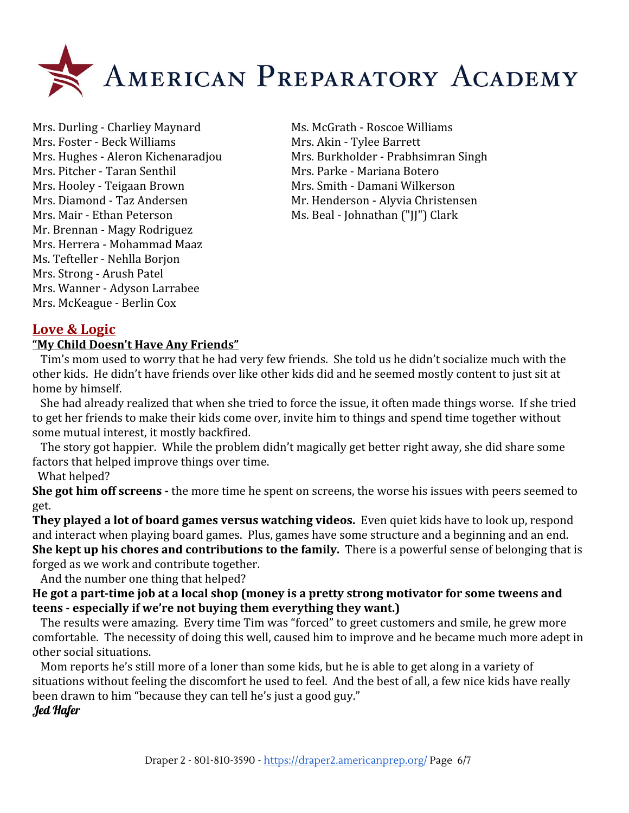

Mrs. Durling - Charliey Maynard Ms. McGrath - Roscoe Williams Mrs. Foster - Beck Williams Mrs. Akin - Tylee Barrett Mrs. Pitcher - Taran Senthil Mrs. Parke - Mariana Botero Mrs. Hooley - Teigaan Brown Mrs. Smith - Damani Wilkerson Mrs. Diamond - Taz Andersen Mr. Henderson - Alyvia Christensen Mrs. Mair - Ethan Peterson Ms. Beal - Johnathan ("JJ") Clark Mr. Brennan - Magy Rodriguez Mrs. Herrera - Mohammad Maaz Ms. Tefteller - Nehlla Borjon Mrs. Strong - Arush Patel Mrs. Wanner - Adyson Larrabee Mrs. McKeague - Berlin Cox

Mrs. Hughes - Aleron Kichenaradjou Mrs. Burkholder - Prabhsimran Singh

## **Love & Logic**

#### **"My Child Doesn't Have Any Friends"**

 Tim's mom used to worry that he had very few friends. She told us he didn't socialize much with the other kids. He didn't have friends over like other kids did and he seemed mostly content to just sit at home by himself.

 She had already realized that when she tried to force the issue, it often made things worse. If she tried to get her friends to make their kids come over, invite him to things and spend time together without some mutual interest, it mostly backfired.

 The story got happier. While the problem didn't magically get better right away, she did share some factors that helped improve things over time.

What helped?

**She got him off screens -** the more time he spent on screens, the worse his issues with peers seemed to get.

**They played a lot of board games versus watching videos.** Even quiet kids have to look up, respond and interact when playing board games. Plus, games have some structure and a beginning and an end. **She kept up his chores and contributions to the family.** There is a powerful sense of belonging that is forged as we work and contribute together.

And the number one thing that helped?

**He got a part-time job at a local shop (money is a pretty strong motivator for some tweens and teens - especially if we're not buying them everything they want.)**

The results were amazing. Every time Tim was "forced" to greet customers and smile, he grew more comfortable. The necessity of doing this well, caused him to improve and he became much more adept in other social situations.

 Mom reports he's still more of a loner than some kids, but he is able to get along in a variety of situations without feeling the discomfort he used to feel. And the best of all, a few nice kids have really been drawn to him "because they can tell he's just a good guy." Jed Hafer